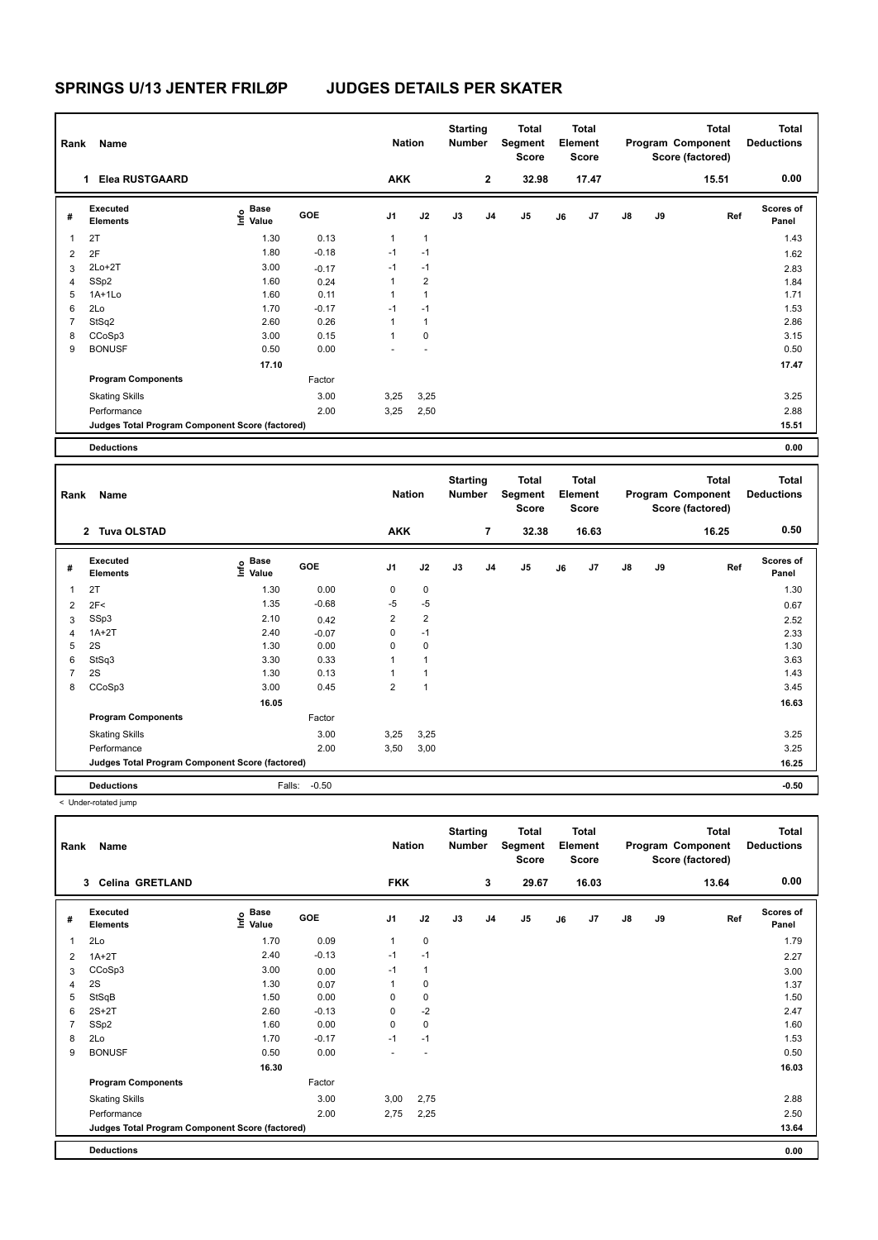## **SPRINGS U/13 JENTER FRILØP JUDGES DETAILS PER SKATER**

| Rank           | Name                                            |                                  |         | <b>Nation</b> |                | <b>Starting</b><br>Number |              | <b>Total</b><br>Segment<br>Score |    | <b>Total</b><br>Element<br><b>Score</b> |               |    | <b>Total</b><br>Program Component<br>Score (factored) | <b>Total</b><br><b>Deductions</b> |
|----------------|-------------------------------------------------|----------------------------------|---------|---------------|----------------|---------------------------|--------------|----------------------------------|----|-----------------------------------------|---------------|----|-------------------------------------------------------|-----------------------------------|
|                | <b>Elea RUSTGAARD</b><br>1                      |                                  |         | <b>AKK</b>    |                |                           | $\mathbf{2}$ | 32.98                            |    | 17.47                                   |               |    | 15.51                                                 | 0.00                              |
| #              | Executed<br><b>Elements</b>                     | <b>Base</b><br>e Base<br>⊆ Value | GOE     | J1            | J2             | J3                        | J4           | $\mathsf{J}5$                    | J6 | J7                                      | $\mathsf{J}8$ | J9 | Ref                                                   | <b>Scores of</b><br>Panel         |
| 1              | 2T                                              | 1.30                             | 0.13    | $\mathbf{1}$  | $\mathbf{1}$   |                           |              |                                  |    |                                         |               |    |                                                       | 1.43                              |
| 2              | 2F                                              | 1.80                             | $-0.18$ | $-1$          | $-1$           |                           |              |                                  |    |                                         |               |    |                                                       | 1.62                              |
| 3              | $2Lo+2T$                                        | 3.00                             | $-0.17$ | $-1$          | $-1$           |                           |              |                                  |    |                                         |               |    |                                                       | 2.83                              |
| 4              | SSp2                                            | 1.60                             | 0.24    | 1             | $\overline{2}$ |                           |              |                                  |    |                                         |               |    |                                                       | 1.84                              |
| 5              | $1A+1Lo$                                        | 1.60                             | 0.11    | 1             | $\mathbf{1}$   |                           |              |                                  |    |                                         |               |    |                                                       | 1.71                              |
| 6              | 2Lo                                             | 1.70                             | $-0.17$ | $-1$          | $-1$           |                           |              |                                  |    |                                         |               |    |                                                       | 1.53                              |
| $\overline{7}$ | StSq2                                           | 2.60                             | 0.26    | 1             | $\mathbf{1}$   |                           |              |                                  |    |                                         |               |    |                                                       | 2.86                              |
| 8              | CCoSp3                                          | 3.00                             | 0.15    | 1             | $\mathbf 0$    |                           |              |                                  |    |                                         |               |    |                                                       | 3.15                              |
| 9              | <b>BONUSF</b>                                   | 0.50                             | 0.00    |               |                |                           |              |                                  |    |                                         |               |    |                                                       | 0.50                              |
|                |                                                 | 17.10                            |         |               |                |                           |              |                                  |    |                                         |               |    |                                                       | 17.47                             |
|                | <b>Program Components</b>                       |                                  | Factor  |               |                |                           |              |                                  |    |                                         |               |    |                                                       |                                   |
|                | <b>Skating Skills</b>                           |                                  | 3.00    | 3,25          | 3,25           |                           |              |                                  |    |                                         |               |    |                                                       | 3.25                              |
|                | Performance                                     |                                  | 2.00    | 3,25          | 2,50           |                           |              |                                  |    |                                         |               |    |                                                       | 2.88                              |
|                | Judges Total Program Component Score (factored) |                                  |         |               |                |                           |              |                                  |    |                                         |               |    |                                                       | 15.51                             |
|                | <b>Deductions</b>                               |                                  |         |               |                |                           |              |                                  |    |                                         |               |    |                                                       | 0.00                              |
|                |                                                 |                                  |         |               |                |                           |              |                                  |    |                                         |               |    |                                                       |                                   |

| Rank           | Name                                            |                           |         | <b>Nation</b>  |                | <b>Starting</b><br>Number |                | <b>Total</b><br>Segment<br><b>Score</b> |    | <b>Total</b><br>Element<br><b>Score</b> |               |    | <b>Total</b><br>Program Component<br>Score (factored) | <b>Total</b><br><b>Deductions</b> |
|----------------|-------------------------------------------------|---------------------------|---------|----------------|----------------|---------------------------|----------------|-----------------------------------------|----|-----------------------------------------|---------------|----|-------------------------------------------------------|-----------------------------------|
|                | 2 Tuva OLSTAD                                   |                           |         | <b>AKK</b>     |                |                           | $\overline{7}$ | 32.38                                   |    | 16.63                                   |               |    | 16.25                                                 | 0.50                              |
| #              | Executed<br><b>Elements</b>                     | Base<br>e Base<br>⊆ Value | GOE     | J <sub>1</sub> | J2             | J3                        | J4             | J5                                      | J6 | J <sub>7</sub>                          | $\mathsf{J}8$ | J9 | Ref                                                   | <b>Scores of</b><br>Panel         |
| 1              | 2T                                              | 1.30                      | 0.00    | 0              | $\mathbf 0$    |                           |                |                                         |    |                                         |               |    |                                                       | 1.30                              |
| 2              | 2F<                                             | 1.35                      | $-0.68$ | $-5$           | $-5$           |                           |                |                                         |    |                                         |               |    |                                                       | 0.67                              |
| 3              | SSp3                                            | 2.10                      | 0.42    | $\overline{2}$ | $\overline{2}$ |                           |                |                                         |    |                                         |               |    |                                                       | 2.52                              |
| 4              | $1A+2T$                                         | 2.40                      | $-0.07$ | 0              | $-1$           |                           |                |                                         |    |                                         |               |    |                                                       | 2.33                              |
| 5              | 2S                                              | 1.30                      | 0.00    | 0              | 0              |                           |                |                                         |    |                                         |               |    |                                                       | 1.30                              |
| 6              | StSq3                                           | 3.30                      | 0.33    | 1              | $\mathbf{1}$   |                           |                |                                         |    |                                         |               |    |                                                       | 3.63                              |
| $\overline{7}$ | 2S                                              | 1.30                      | 0.13    | 1              | $\mathbf{1}$   |                           |                |                                         |    |                                         |               |    |                                                       | 1.43                              |
| 8              | CCoSp3                                          | 3.00                      | 0.45    | $\overline{2}$ | 1              |                           |                |                                         |    |                                         |               |    |                                                       | 3.45                              |
|                |                                                 | 16.05                     |         |                |                |                           |                |                                         |    |                                         |               |    |                                                       | 16.63                             |
|                | <b>Program Components</b>                       |                           | Factor  |                |                |                           |                |                                         |    |                                         |               |    |                                                       |                                   |
|                | <b>Skating Skills</b>                           |                           | 3.00    | 3,25           | 3,25           |                           |                |                                         |    |                                         |               |    |                                                       | 3.25                              |
|                | Performance                                     |                           | 2.00    | 3,50           | 3,00           |                           |                |                                         |    |                                         |               |    |                                                       | 3.25                              |
|                | Judges Total Program Component Score (factored) |                           |         |                |                |                           |                |                                         |    |                                         |               |    |                                                       | 16.25                             |
|                | <b>Deductions</b>                               | Falls:                    | $-0.50$ |                |                |                           |                |                                         |    |                                         |               |    |                                                       | $-0.50$                           |

< Under-rotated jump

| Rank | Name                        |                                                 |                        |            | <b>Nation</b>  |              | <b>Starting</b><br><b>Number</b> |    | <b>Total</b><br>Segment<br><b>Score</b> |    | <b>Total</b><br>Element<br><b>Score</b> |               |    | <b>Total</b><br>Program Component<br>Score (factored) | <b>Total</b><br><b>Deductions</b> |
|------|-----------------------------|-------------------------------------------------|------------------------|------------|----------------|--------------|----------------------------------|----|-----------------------------------------|----|-----------------------------------------|---------------|----|-------------------------------------------------------|-----------------------------------|
|      | <b>Celina GRETLAND</b><br>3 |                                                 |                        |            | <b>FKK</b>     |              |                                  | 3  | 29.67                                   |    | 16.03                                   |               |    | 13.64                                                 | 0.00                              |
| #    | Executed<br><b>Elements</b> |                                                 | $\sum_{i=1}^{5}$ Value | <b>GOE</b> | J <sub>1</sub> | J2           | J3                               | J4 | J5                                      | J6 | J7                                      | $\mathsf{J}8$ | J9 | Ref                                                   | <b>Scores of</b><br>Panel         |
| 1    | 2Lo                         |                                                 | 1.70                   | 0.09       | 1              | $\mathbf 0$  |                                  |    |                                         |    |                                         |               |    |                                                       | 1.79                              |
| 2    | $1A+2T$                     |                                                 | 2.40                   | $-0.13$    | $-1$           | $-1$         |                                  |    |                                         |    |                                         |               |    |                                                       | 2.27                              |
| 3    | CCoSp3                      |                                                 | 3.00                   | 0.00       | $-1$           | $\mathbf{1}$ |                                  |    |                                         |    |                                         |               |    |                                                       | 3.00                              |
| 4    | 2S                          |                                                 | 1.30                   | 0.07       |                | $\pmb{0}$    |                                  |    |                                         |    |                                         |               |    |                                                       | 1.37                              |
| 5    | StSqB                       |                                                 | 1.50                   | 0.00       | 0              | $\pmb{0}$    |                                  |    |                                         |    |                                         |               |    |                                                       | 1.50                              |
| 6    | $2S+2T$                     |                                                 | 2.60                   | $-0.13$    | 0              | $-2$         |                                  |    |                                         |    |                                         |               |    |                                                       | 2.47                              |
| 7    | SSp2                        |                                                 | 1.60                   | 0.00       | 0              | $\mathbf 0$  |                                  |    |                                         |    |                                         |               |    |                                                       | 1.60                              |
| 8    | 2Lo                         |                                                 | 1.70                   | $-0.17$    | $-1$           | $-1$         |                                  |    |                                         |    |                                         |               |    |                                                       | 1.53                              |
| 9    | <b>BONUSF</b>               |                                                 | 0.50                   | 0.00       |                |              |                                  |    |                                         |    |                                         |               |    |                                                       | 0.50                              |
|      |                             |                                                 | 16.30                  |            |                |              |                                  |    |                                         |    |                                         |               |    |                                                       | 16.03                             |
|      | <b>Program Components</b>   |                                                 |                        | Factor     |                |              |                                  |    |                                         |    |                                         |               |    |                                                       |                                   |
|      | <b>Skating Skills</b>       |                                                 |                        | 3.00       | 3,00           | 2,75         |                                  |    |                                         |    |                                         |               |    |                                                       | 2.88                              |
|      | Performance                 |                                                 |                        | 2.00       | 2,75           | 2,25         |                                  |    |                                         |    |                                         |               |    |                                                       | 2.50                              |
|      |                             | Judges Total Program Component Score (factored) |                        |            |                |              |                                  |    |                                         |    |                                         |               |    |                                                       | 13.64                             |
|      | <b>Deductions</b>           |                                                 |                        |            |                |              |                                  |    |                                         |    |                                         |               |    |                                                       | 0.00                              |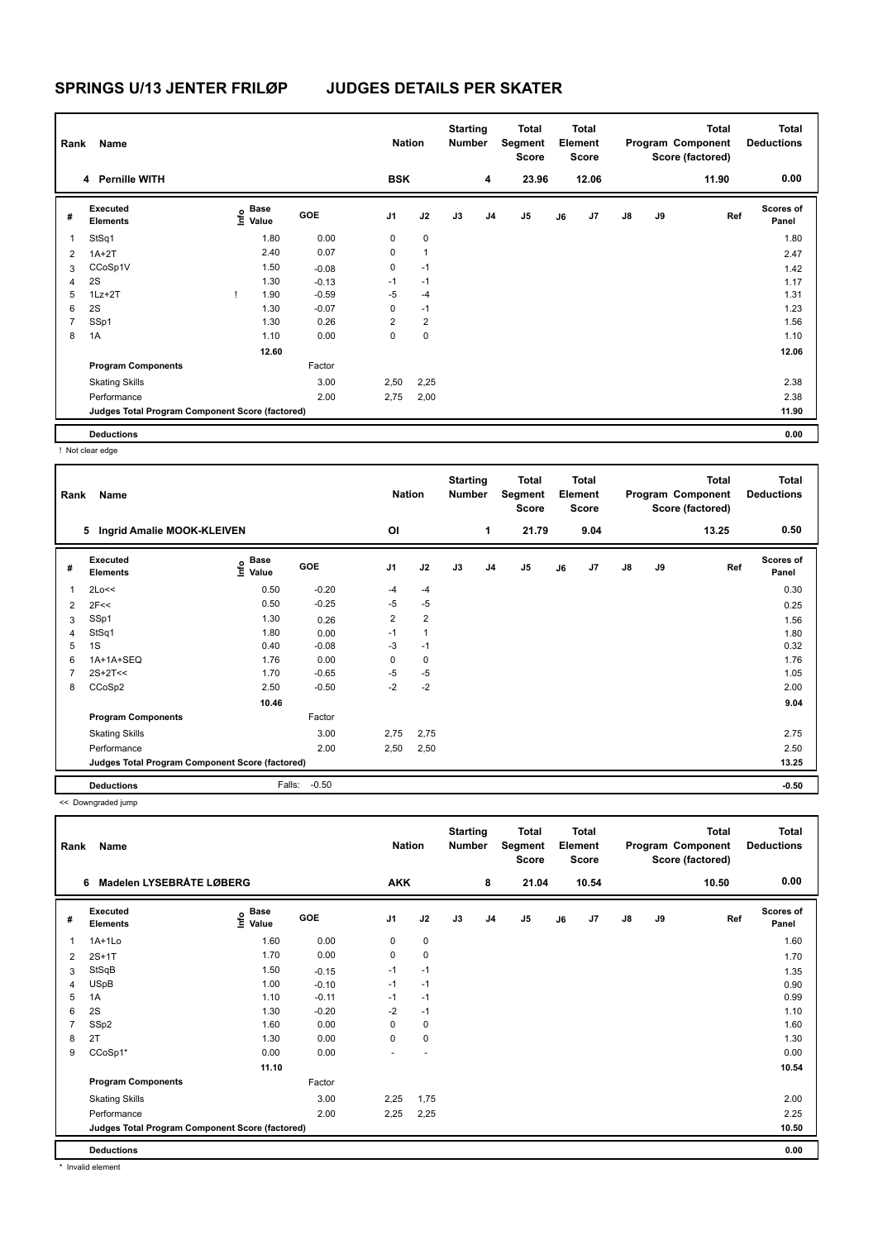## **SPRINGS U/13 JENTER FRILØP JUDGES DETAILS PER SKATER**

| Rank                    | Name                                            |                                  |         | <b>Nation</b>  |                | <b>Starting</b><br>Number |    | Total<br>Segment<br><b>Score</b> |    | <b>Total</b><br>Element<br><b>Score</b> |               |    | Total<br>Program Component<br>Score (factored) | <b>Total</b><br><b>Deductions</b> |
|-------------------------|-------------------------------------------------|----------------------------------|---------|----------------|----------------|---------------------------|----|----------------------------------|----|-----------------------------------------|---------------|----|------------------------------------------------|-----------------------------------|
|                         | 4 Pernille WITH                                 |                                  |         | <b>BSK</b>     |                |                           | 4  | 23.96                            |    | 12.06                                   |               |    | 11.90                                          | 0.00                              |
| #                       | Executed<br><b>Elements</b>                     | <b>Base</b><br>o Base<br>⊆ Value | GOE     | J <sub>1</sub> | J2             | J3                        | J4 | J <sub>5</sub>                   | J6 | J7                                      | $\mathsf{J}8$ | J9 | Ref                                            | <b>Scores of</b><br>Panel         |
| $\overline{\mathbf{1}}$ | StSq1                                           | 1.80                             | 0.00    | 0              | $\mathbf 0$    |                           |    |                                  |    |                                         |               |    |                                                | 1.80                              |
| 2                       | $1A+2T$                                         | 2.40                             | 0.07    | 0              | $\overline{1}$ |                           |    |                                  |    |                                         |               |    |                                                | 2.47                              |
| 3                       | CCoSp1V                                         | 1.50                             | $-0.08$ | 0              | $-1$           |                           |    |                                  |    |                                         |               |    |                                                | 1.42                              |
| 4                       | 2S                                              | 1.30                             | $-0.13$ | $-1$           | $-1$           |                           |    |                                  |    |                                         |               |    |                                                | 1.17                              |
| 5                       | $1Lz + 2T$                                      | 1.90                             | $-0.59$ | $-5$           | $-4$           |                           |    |                                  |    |                                         |               |    |                                                | 1.31                              |
| 6                       | 2S                                              | 1.30                             | $-0.07$ | 0              | $-1$           |                           |    |                                  |    |                                         |               |    |                                                | 1.23                              |
| $\overline{7}$          | SSp1                                            | 1.30                             | 0.26    | $\overline{2}$ | $\overline{2}$ |                           |    |                                  |    |                                         |               |    |                                                | 1.56                              |
| 8                       | 1A                                              | 1.10                             | 0.00    | 0              | $\pmb{0}$      |                           |    |                                  |    |                                         |               |    |                                                | 1.10                              |
|                         |                                                 | 12.60                            |         |                |                |                           |    |                                  |    |                                         |               |    |                                                | 12.06                             |
|                         | <b>Program Components</b>                       |                                  | Factor  |                |                |                           |    |                                  |    |                                         |               |    |                                                |                                   |
|                         | <b>Skating Skills</b>                           |                                  | 3.00    | 2,50           | 2,25           |                           |    |                                  |    |                                         |               |    |                                                | 2.38                              |
|                         | Performance                                     |                                  | 2.00    | 2,75           | 2,00           |                           |    |                                  |    |                                         |               |    |                                                | 2.38                              |
|                         | Judges Total Program Component Score (factored) |                                  |         |                |                |                           |    |                                  |    |                                         |               |    |                                                | 11.90                             |
|                         | <b>Deductions</b>                               |                                  |         |                |                |                           |    |                                  |    |                                         |               |    |                                                | 0.00                              |

! Not clear edge

| Rank           | Name                                            |                                  |            | <b>Nation</b>  |                | <b>Starting</b><br><b>Number</b> |                | <b>Total</b><br>Segment<br><b>Score</b> |    | Total<br>Element<br><b>Score</b> |               |    | <b>Total</b><br>Program Component<br>Score (factored) | <b>Total</b><br><b>Deductions</b> |
|----------------|-------------------------------------------------|----------------------------------|------------|----------------|----------------|----------------------------------|----------------|-----------------------------------------|----|----------------------------------|---------------|----|-------------------------------------------------------|-----------------------------------|
|                | Ingrid Amalie MOOK-KLEIVEN<br>5                 |                                  |            | <b>OI</b>      |                |                                  | 1              | 21.79                                   |    | 9.04                             |               |    | 13.25                                                 | 0.50                              |
| #              | Executed<br><b>Elements</b>                     | <b>Base</b><br>e Base<br>⊆ Value | <b>GOE</b> | J <sub>1</sub> | J2             | J3                               | J <sub>4</sub> | J <sub>5</sub>                          | J6 | J7                               | $\mathsf{J}8$ | J9 | Ref                                                   | <b>Scores of</b><br>Panel         |
| $\overline{1}$ | 2Lo<<                                           | 0.50                             | $-0.20$    | $-4$           | $-4$           |                                  |                |                                         |    |                                  |               |    |                                                       | 0.30                              |
| 2              | 2F<<                                            | 0.50                             | $-0.25$    | $-5$           | $-5$           |                                  |                |                                         |    |                                  |               |    |                                                       | 0.25                              |
| 3              | SSp1                                            | 1.30                             | 0.26       | 2              | $\overline{2}$ |                                  |                |                                         |    |                                  |               |    |                                                       | 1.56                              |
| 4              | StSq1                                           | 1.80                             | 0.00       | $-1$           | $\mathbf{1}$   |                                  |                |                                         |    |                                  |               |    |                                                       | 1.80                              |
| 5              | 1S                                              | 0.40                             | $-0.08$    | $-3$           | $-1$           |                                  |                |                                         |    |                                  |               |    |                                                       | 0.32                              |
| 6              | 1A+1A+SEQ                                       | 1.76                             | 0.00       | 0              | $\mathbf 0$    |                                  |                |                                         |    |                                  |               |    |                                                       | 1.76                              |
| 7              | $2S+2T<<$                                       | 1.70                             | $-0.65$    | $-5$           | $-5$           |                                  |                |                                         |    |                                  |               |    |                                                       | 1.05                              |
| 8              | CCoSp2                                          | 2.50                             | $-0.50$    | $-2$           | $-2$           |                                  |                |                                         |    |                                  |               |    |                                                       | 2.00                              |
|                |                                                 | 10.46                            |            |                |                |                                  |                |                                         |    |                                  |               |    |                                                       | 9.04                              |
|                | <b>Program Components</b>                       |                                  | Factor     |                |                |                                  |                |                                         |    |                                  |               |    |                                                       |                                   |
|                | <b>Skating Skills</b>                           |                                  | 3.00       | 2,75           | 2,75           |                                  |                |                                         |    |                                  |               |    |                                                       | 2.75                              |
|                | Performance                                     |                                  | 2.00       | 2,50           | 2,50           |                                  |                |                                         |    |                                  |               |    |                                                       | 2.50                              |
|                | Judges Total Program Component Score (factored) |                                  |            |                |                |                                  |                |                                         |    |                                  |               |    |                                                       | 13.25                             |
|                | <b>Deductions</b>                               | Falls:                           | $-0.50$    |                |                |                                  |                |                                         |    |                                  |               |    |                                                       | $-0.50$                           |

<< Downgraded jump

| Rank | Name                                            |                                    |         | <b>Nation</b>  |           | <b>Starting</b><br><b>Number</b> |                | <b>Total</b><br>Segment<br><b>Score</b> |    | <b>Total</b><br>Element<br><b>Score</b> |               |    | Total<br>Program Component<br>Score (factored) | <b>Total</b><br><b>Deductions</b> |
|------|-------------------------------------------------|------------------------------------|---------|----------------|-----------|----------------------------------|----------------|-----------------------------------------|----|-----------------------------------------|---------------|----|------------------------------------------------|-----------------------------------|
|      | Madelen LYSEBRÅTE LØBERG<br>6                   |                                    |         | <b>AKK</b>     |           |                                  | 8              | 21.04                                   |    | 10.54                                   |               |    | 10.50                                          | 0.00                              |
| #    | Executed<br><b>Elements</b>                     | <b>Base</b><br>$\frac{6}{5}$ Value | GOE     | J <sub>1</sub> | J2        | J3                               | J <sub>4</sub> | J <sub>5</sub>                          | J6 | J7                                      | $\mathsf{J}8$ | J9 | Ref                                            | <b>Scores of</b><br>Panel         |
| 1    | $1A+1Lo$                                        | 1.60                               | 0.00    | 0              | $\pmb{0}$ |                                  |                |                                         |    |                                         |               |    |                                                | 1.60                              |
| 2    | $2S+1T$                                         | 1.70                               | 0.00    | 0              | $\pmb{0}$ |                                  |                |                                         |    |                                         |               |    |                                                | 1.70                              |
| 3    | StSqB                                           | 1.50                               | $-0.15$ | $-1$           | $-1$      |                                  |                |                                         |    |                                         |               |    |                                                | 1.35                              |
| 4    | <b>USpB</b>                                     | 1.00                               | $-0.10$ | $-1$           | $-1$      |                                  |                |                                         |    |                                         |               |    |                                                | 0.90                              |
| 5    | 1A                                              | 1.10                               | $-0.11$ | $-1$           | $-1$      |                                  |                |                                         |    |                                         |               |    |                                                | 0.99                              |
| 6    | 2S                                              | 1.30                               | $-0.20$ | $-2$           | $-1$      |                                  |                |                                         |    |                                         |               |    |                                                | 1.10                              |
| 7    | SSp2                                            | 1.60                               | 0.00    | 0              | 0         |                                  |                |                                         |    |                                         |               |    |                                                | 1.60                              |
| 8    | 2T                                              | 1.30                               | 0.00    | 0              | 0         |                                  |                |                                         |    |                                         |               |    |                                                | 1.30                              |
| 9    | CCoSp1*                                         | 0.00                               | 0.00    | ۰              |           |                                  |                |                                         |    |                                         |               |    |                                                | 0.00                              |
|      |                                                 | 11.10                              |         |                |           |                                  |                |                                         |    |                                         |               |    |                                                | 10.54                             |
|      | <b>Program Components</b>                       |                                    | Factor  |                |           |                                  |                |                                         |    |                                         |               |    |                                                |                                   |
|      | <b>Skating Skills</b>                           |                                    | 3.00    | 2,25           | 1,75      |                                  |                |                                         |    |                                         |               |    |                                                | 2.00                              |
|      | Performance                                     |                                    | 2.00    | 2,25           | 2,25      |                                  |                |                                         |    |                                         |               |    |                                                | 2.25                              |
|      | Judges Total Program Component Score (factored) |                                    |         |                |           |                                  |                |                                         |    |                                         |               |    |                                                | 10.50                             |
|      | <b>Deductions</b>                               |                                    |         |                |           |                                  |                |                                         |    |                                         |               |    |                                                | 0.00                              |

\* Invalid element